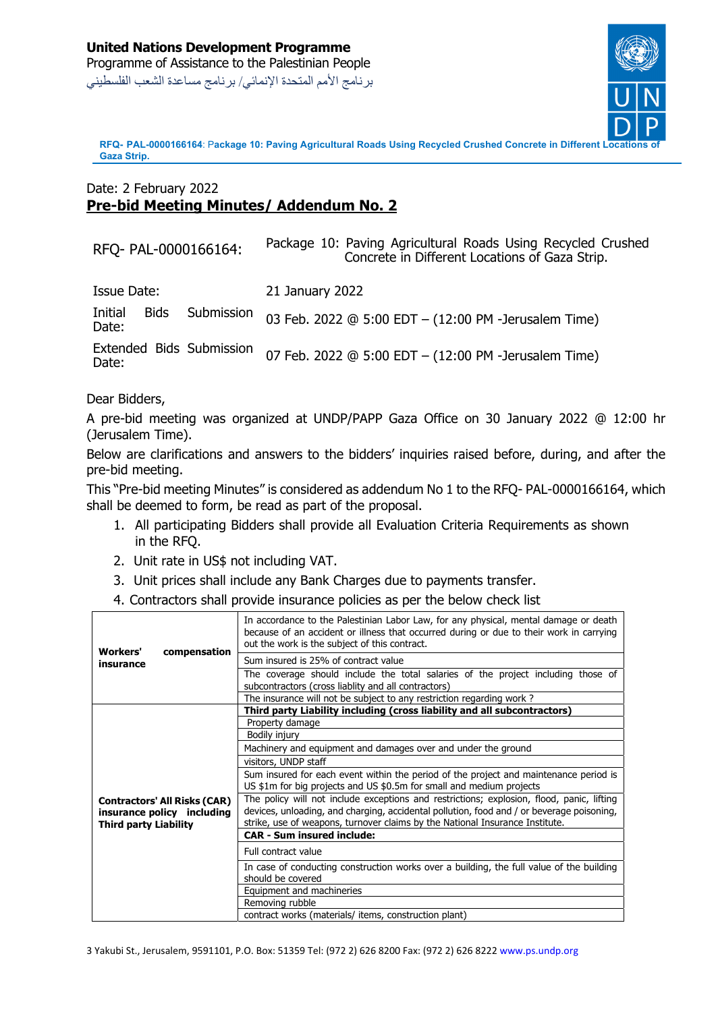

**RFQ-** PAL-0000166164: Package 10: Paving Agricultural Roads Using Recycled Crushed Concrete in Different **Gaza Strip.**

## Date: 2 February 2022 **Pre-bid Meeting Minutes/ Addendum No. 2**

| RFQ- PAL-0000166164:                          | Package 10: Paving Agricultural Roads Using Recycled Crushed<br>Concrete in Different Locations of Gaza Strip. |
|-----------------------------------------------|----------------------------------------------------------------------------------------------------------------|
| Issue Date:                                   | 21 January 2022                                                                                                |
| <b>Bids</b><br>Initial<br>Submission<br>Date: | 03 Feb. 2022 @ 5:00 EDT - (12:00 PM -Jerusalem Time)                                                           |
| Extended Bids Submission<br>Date:             | 07 Feb. 2022 @ 5:00 EDT - (12:00 PM -Jerusalem Time)                                                           |

Dear Bidders,

A pre-bid meeting was organized at UNDP/PAPP Gaza Office on 30 January 2022 @ 12:00 hr (Jerusalem Time).

Below are clarifications and answers to the bidders' inquiries raised before, during, and after the pre-bid meeting.

This "Pre-bid meeting Minutes" is considered as addendum No 1 to the RFQ- PAL-0000166164, which shall be deemed to form, be read as part of the proposal.

- 1. All participating Bidders shall provide all Evaluation Criteria Requirements as shown in the RFQ.
- 2. Unit rate in US\$ not including VAT.
- 3. Unit prices shall include any Bank Charges due to payments transfer.
- 4. Contractors shall provide insurance policies as per the below check list

| <b>Workers'</b><br>compensation<br>insurance                                                      |  | In accordance to the Palestinian Labor Law, for any physical, mental damage or death<br>because of an accident or illness that occurred during or due to their work in carrying<br>out the work is the subject of this contract.                                       |
|---------------------------------------------------------------------------------------------------|--|------------------------------------------------------------------------------------------------------------------------------------------------------------------------------------------------------------------------------------------------------------------------|
|                                                                                                   |  | Sum insured is 25% of contract value                                                                                                                                                                                                                                   |
|                                                                                                   |  | The coverage should include the total salaries of the project including those of<br>subcontractors (cross liablity and all contractors)                                                                                                                                |
|                                                                                                   |  | The insurance will not be subject to any restriction regarding work?                                                                                                                                                                                                   |
| <b>Contractors' All Risks (CAR)</b><br>insurance policy including<br><b>Third party Liability</b> |  | Third party Liability including (cross liability and all subcontractors)                                                                                                                                                                                               |
|                                                                                                   |  | Property damage                                                                                                                                                                                                                                                        |
|                                                                                                   |  | Bodily injury                                                                                                                                                                                                                                                          |
|                                                                                                   |  | Machinery and equipment and damages over and under the ground                                                                                                                                                                                                          |
|                                                                                                   |  | visitors, UNDP staff                                                                                                                                                                                                                                                   |
|                                                                                                   |  | Sum insured for each event within the period of the project and maintenance period is<br>US \$1m for big projects and US \$0.5m for small and medium projects                                                                                                          |
|                                                                                                   |  | The policy will not include exceptions and restrictions; explosion, flood, panic, lifting<br>devices, unloading, and charging, accidental pollution, food and / or beverage poisoning,<br>strike, use of weapons, turnover claims by the National Insurance Institute. |
|                                                                                                   |  | <b>CAR - Sum insured include:</b>                                                                                                                                                                                                                                      |
|                                                                                                   |  | Full contract value                                                                                                                                                                                                                                                    |
|                                                                                                   |  | In case of conducting construction works over a building, the full value of the building<br>should be covered                                                                                                                                                          |
|                                                                                                   |  | Equipment and machineries                                                                                                                                                                                                                                              |
|                                                                                                   |  | Removing rubble                                                                                                                                                                                                                                                        |
|                                                                                                   |  | contract works (materials/ items, construction plant)                                                                                                                                                                                                                  |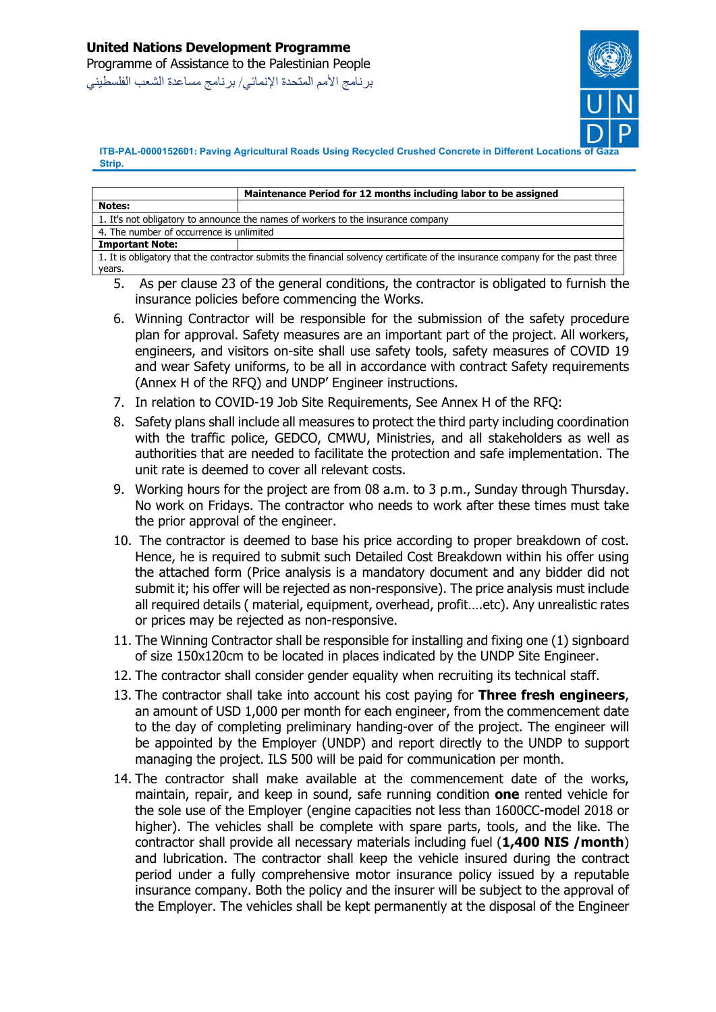

**ITB-PAL-0000152601**: Paving Agricultural Roads Using Recycled Crushed Concrete in Different Locations **Strip.**

|                                                                                                                                | Maintenance Period for 12 months including labor to be assigned |  |
|--------------------------------------------------------------------------------------------------------------------------------|-----------------------------------------------------------------|--|
| <b>Notes:</b>                                                                                                                  |                                                                 |  |
| 1. It's not obligatory to announce the names of workers to the insurance company                                               |                                                                 |  |
| 4. The number of occurrence is unlimited                                                                                       |                                                                 |  |
| <b>Important Note:</b>                                                                                                         |                                                                 |  |
| 1. It is obligatory that the contractor submits the financial solvency certificate of the insurance company for the past three |                                                                 |  |
| years.                                                                                                                         |                                                                 |  |

- 5. As per clause 23 of the general conditions, the contractor is obligated to furnish the insurance policies before commencing the Works.
- 6. Winning Contractor will be responsible for the submission of the safety procedure plan for approval. Safety measures are an important part of the project. All workers, engineers, and visitors on-site shall use safety tools, safety measures of COVID 19 and wear Safety uniforms, to be all in accordance with contract Safety requirements (Annex H of the RFQ) and UNDP' Engineer instructions.
- 7. In relation to COVID-19 Job Site Requirements, See Annex H of the RFQ:
- 8. Safety plans shall include all measures to protect the third party including coordination with the traffic police, GEDCO, CMWU, Ministries, and all stakeholders as well as authorities that are needed to facilitate the protection and safe implementation. The unit rate is deemed to cover all relevant costs.
- 9. Working hours for the project are from 08 a.m. to 3 p.m., Sunday through Thursday. No work on Fridays. The contractor who needs to work after these times must take the prior approval of the engineer.
- 10. The contractor is deemed to base his price according to proper breakdown of cost. Hence, he is required to submit such Detailed Cost Breakdown within his offer using the attached form (Price analysis is a mandatory document and any bidder did not submit it; his offer will be rejected as non-responsive). The price analysis must include all required details ( material, equipment, overhead, profit….etc). Any unrealistic rates or prices may be rejected as non‐responsive.
- 11. The Winning Contractor shall be responsible for installing and fixing one (1) signboard of size 150x120cm to be located in places indicated by the UNDP Site Engineer.
- 12. The contractor shall consider gender equality when recruiting its technical staff.
- 13. The contractor shall take into account his cost paying for **Three fresh engineers**, an amount of USD 1,000 per month for each engineer, from the commencement date to the day of completing preliminary handing-over of the project. The engineer will be appointed by the Employer (UNDP) and report directly to the UNDP to support managing the project. ILS 500 will be paid for communication per month.
- 14. The contractor shall make available at the commencement date of the works, maintain, repair, and keep in sound, safe running condition **one** rented vehicle for the sole use of the Employer (engine capacities not less than 1600CC-model 2018 or higher). The vehicles shall be complete with spare parts, tools, and the like. The contractor shall provide all necessary materials including fuel (**1,400 NIS /month**) and lubrication. The contractor shall keep the vehicle insured during the contract period under a fully comprehensive motor insurance policy issued by a reputable insurance company. Both the policy and the insurer will be subject to the approval of the Employer. The vehicles shall be kept permanently at the disposal of the Engineer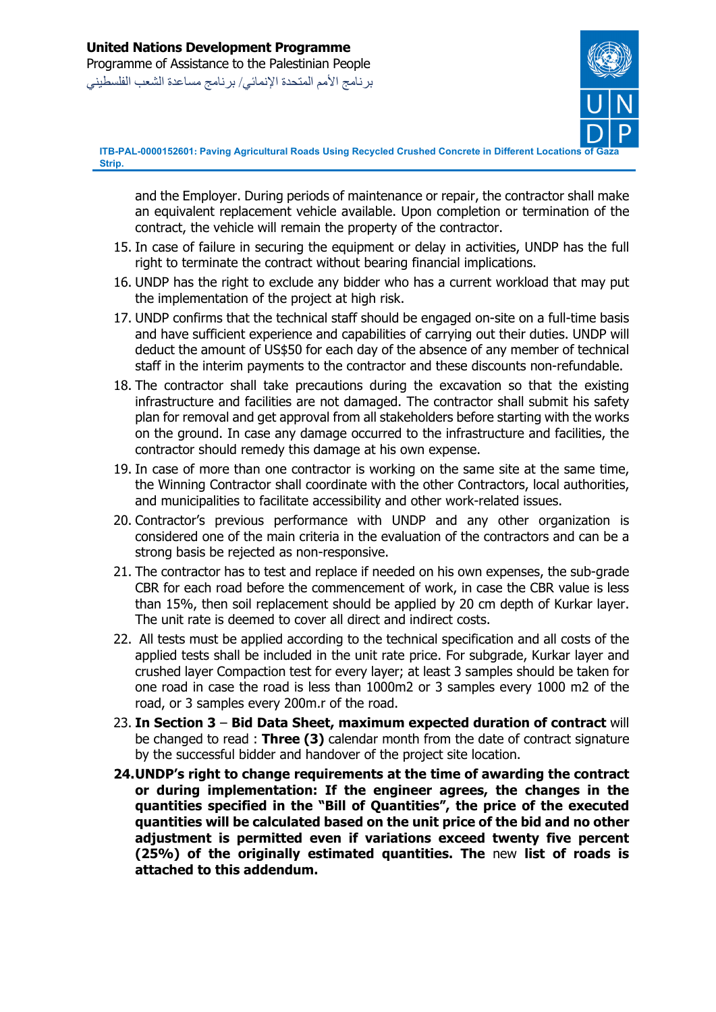

**ITB-PAL-0000152601: Paving Agricultural Roads Using Recycled Crushed Concrete in Different Locations of Gaza Strip.**

and the Employer. During periods of maintenance or repair, the contractor shall make an equivalent replacement vehicle available. Upon completion or termination of the contract, the vehicle will remain the property of the contractor.

- 15. In case of failure in securing the equipment or delay in activities, UNDP has the full right to terminate the contract without bearing financial implications.
- 16. UNDP has the right to exclude any bidder who has a current workload that may put the implementation of the project at high risk.
- 17. UNDP confirms that the technical staff should be engaged on-site on a full-time basis and have sufficient experience and capabilities of carrying out their duties. UNDP will deduct the amount of US\$50 for each day of the absence of any member of technical staff in the interim payments to the contractor and these discounts non-refundable.
- 18. The contractor shall take precautions during the excavation so that the existing infrastructure and facilities are not damaged. The contractor shall submit his safety plan for removal and get approval from all stakeholders before starting with the works on the ground. In case any damage occurred to the infrastructure and facilities, the contractor should remedy this damage at his own expense.
- 19. In case of more than one contractor is working on the same site at the same time, the Winning Contractor shall coordinate with the other Contractors, local authorities, and municipalities to facilitate accessibility and other work-related issues.
- 20. Contractor's previous performance with UNDP and any other organization is considered one of the main criteria in the evaluation of the contractors and can be a strong basis be rejected as non-responsive.
- 21. The contractor has to test and replace if needed on his own expenses, the sub-grade CBR for each road before the commencement of work, in case the CBR value is less than 15%, then soil replacement should be applied by 20 cm depth of Kurkar layer. The unit rate is deemed to cover all direct and indirect costs.
- 22. All tests must be applied according to the technical specification and all costs of the applied tests shall be included in the unit rate price. For subgrade, Kurkar layer and crushed layer Compaction test for every layer; at least 3 samples should be taken for one road in case the road is less than 1000m2 or 3 samples every 1000 m2 of the road, or 3 samples every 200m.r of the road.
- 23. **In Section 3 Bid Data Sheet, maximum expected duration of contract** will be changed to read : **Three (3)** calendar month from the date of contract signature by the successful bidder and handover of the project site location.
- **24.UNDP's right to change requirements at the time of awarding the contract or during implementation: If the engineer agrees, the changes in the quantities specified in the "Bill of Quantities", the price of the executed quantities will be calculated based on the unit price of the bid and no other adjustment is permitted even if variations exceed twenty five percent (25%) of the originally estimated quantities. The** new **list of roads is attached to this addendum.**